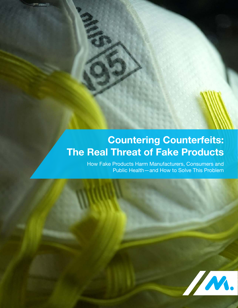# **Countering Counterfeits: The Real Threat of Fake Products**

How Fake Products Harm Manufacturers, Consumers and Public Health—and How to Solve This Problem

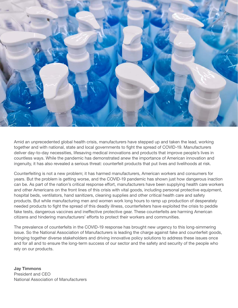

Amid an unprecedented global health crisis, manufacturers have stepped up and taken the lead, working together and with national, state and local governments to fight the spread of COVID-19. Manufacturers deliver day-to-day necessities, lifesaving medical innovations and products that improve people's lives in countless ways. While the pandemic has demonstrated anew the importance of American innovation and ingenuity, it has also revealed a serious threat: counterfeit products that put lives and livelihoods at risk.

Counterfeiting is not a new problem; it has harmed manufacturers, American workers and consumers for years. But the problem is getting worse, and the COVID-19 pandemic has shown just how dangerous inaction can be. As part of the nation's critical response effort, manufacturers have been supplying health care workers and other Americans on the front lines of this crisis with vital goods, including personal protective equipment, hospital beds, ventilators, hand sanitizers, cleaning supplies and other critical health care and safety products. But while manufacturing men and women work long hours to ramp up production of desperately needed products to fight the spread of this deadly illness, counterfeiters have exploited the crisis to peddle fake tests, dangerous vaccines and ineffective protective gear. These counterfeits are harming American citizens and hindering manufacturers' efforts to protect their workers and communities.

The prevalence of counterfeits in the COVID-19 response has brought new urgency to this long-simmering issue. So the National Association of Manufacturers is leading the charge against fake and counterfeit goods, bringing together diverse stakeholders and driving innovative policy solutions to address these issues once and for all and to ensure the long-term success of our sector and the safety and security of the people who rely on our products.

**Jay Timmons**  President and CEO National Association of Manufacturers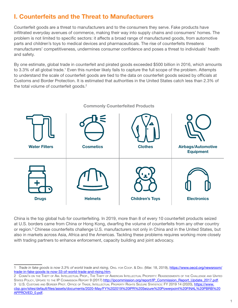# **I. Counterfeits and the Threat to Manufacturers**

Counterfeit goods are a threat to manufacturers and to the consumers they serve. Fake products have infiltrated everyday avenues of commerce, making their way into supply chains and consumers' homes. The problem is not limited to specific sectors: it affects a broad range of manufactured goods, from automotive parts and children's toys to medical devices and pharmaceuticals. The rise of counterfeits threatens manufacturers' competitiveness, undermines consumer confidence and poses a threat to individuals' health and safety.

By one estimate, global trade in counterfeit and pirated goods exceeded \$500 billion in 2016, which amounts to 3.3% of all global trade.<sup>1</sup> Even this number likely fails to capture the full scope of the problem. Attempts to understand the scale of counterfeit goods are tied to the data on counterfeit goods seized by officials at Customs and Border Protection. It is estimated that authorities in the United States catch less than 2.3% of the total volume of counterfeit goods.<sup>2</sup>



China is the top global hub for counterfeiting. In 2019, more than 8 of every 10 counterfeit products seized at U.S. borders came from China or Hong Kong, dwarfing the volume of counterfeits from any other country or region.<sup>3</sup> Chinese counterfeits challenge U.S. manufacturers not only in China and in the United States, but also in markets across Asia, Africa and the Americas. Tackling these problems requires working more closely with trading partners to enhance enforcement, capacity building and joint advocacy.

<sup>1</sup> *Trade in fake goods is now 3.3% of world trade and rising*, ORG. FOR COOP. & DEV. (Mar. 18, 2019), [https://www.oecd.org/newsroom/](https://www.oecd.org/newsroom/trade-in-fake-goods-is-now-33-of-world-trade-and-rising.htm) [trade-in-fake-goods-is-now-33-of-world-trade-and-rising.htm](https://www.oecd.org/newsroom/trade-in-fake-goods-is-now-33-of-world-trade-and-rising.htm).

<sup>2</sup> COMM'<sup>N</sup> ON THE THEFT OF AM. INTELLECTUAL PROP., THE THEFT OF AMERICAN INTELLECTUAL PROPERTY: REASSESSMENTS OF THE CHALLENGE AND UNITED STATES POLICY, UPDATE TO THE IP COMMISSION REPORT 9 (2017) [http://ipcommission.org/report/IP\\_Commission\\_Report\\_Update\\_2017.pdf.](http://ipcommission.org/report/IP_Commission_Report_Update_2017.pdf) 3 U.S. CUSTOMS AND BORDER PROT. OFFICE OF TRADE, INTELLECTUAL PROPERTY RIGHTS SEIZURE STATISTICS: FY 2019 14 (2020), [https://www.](https://www.cbp.gov/sites/default/files/assets/documents/2020-May/FY%202019%20IPR%20Seizure%20Powerpoint%20FINAL%20PBRB%20APPROVED_0.pdf) [cbp.gov/sites/default/files/assets/documents/2020-May/FY%202019%20IPR%20Seizure%20Powerpoint%20FINAL%20PBRB%20](https://www.cbp.gov/sites/default/files/assets/documents/2020-May/FY%202019%20IPR%20Seizure%20Powerpoint%20FINAL%20PBRB%20APPROVED_0.pdf) [APPROVED\\_0.pdf](https://www.cbp.gov/sites/default/files/assets/documents/2020-May/FY%202019%20IPR%20Seizure%20Powerpoint%20FINAL%20PBRB%20APPROVED_0.pdf).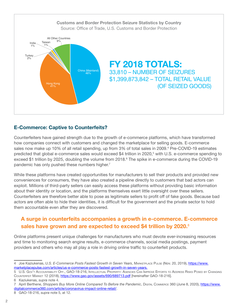

#### **E-Commerce: Captive to Counterfeits?**

Counterfeiters have gained strength due to the growth of e-commerce platforms, which have transformed how companies connect with customers and changed the marketplace for selling goods. E-commerce sales now make up 10% of all retail spending, up from 3% of total sales in 2009.<sup>4</sup> Pre-COVID-19 estimates predicted that global e-commerce sales would exceed \$4 trillion in 2020,<sup>5</sup> with U.S. e-commerce spending to exceed \$1 trillion by 2025, doubling the volume from 2018.<sup>6</sup> The spike in e-commerce during the COVID-19 pandemic has only pushed these numbers higher.<sup>7</sup>

While these platforms have created opportunities for manufacturers to sell their products and provided new conveniences for consumers, they have also created a pipeline directly to customers that bad actors can exploit. Millions of third-party sellers can easily access these platforms without providing basic information about their identity or location, and the platforms themselves exert little oversight over these sellers. Counterfeiters are therefore better able to pose as legitimate sellers to profit off of fake goods. Because bad actors are often able to hide their identities, it is difficult for the government and the private sector to hold them accountable even after they are discovered.

## **A surge in counterfeits accompanies a growth in e-commerce. E-commerce sales have grown and are expected to exceed \$4 trillion by 2020.**<sup>8</sup>

Online platforms present unique challenges for manufacturers who must devote ever-increasing resources and time to monitoring search engine results, e-commerce channels, social media postings, payment providers and others who may all play a role in driving online traffic to counterfeit products.

<sup>4</sup> Joe Kaziukenas, *U.S. E-Commerce Posts Fastest Growth in Seven Years*, MARKETPLACE PULSE (Nov. 20, 2019), [https://www.](https://www.marketplacepulse.com/articles/us-e-commerce-posts-fastest-growth-in-seven-years) [marketplacepulse.com/articles/us-e-commerce-posts-fastest-growth-in-seven-years.](https://www.marketplacepulse.com/articles/us-e-commerce-posts-fastest-growth-in-seven-years)

<sup>5</sup> U.S. GOV'T ACCOUNTABILITY OFF., GAO-18-216, INTELLECTUAL PROPERTY: AGENCIES CAN IMPROVE EFFORTS TO ADDRESS RISKS POSED BY CHANGING COUNTERFEIT MARKET 12 (2018), <https://www.gao.gov/assets/690/689713.pdf>[hereinafter GAO-18-216].

<sup>6</sup> Kaziukenas, *supra* note 4.

<sup>7</sup> April Berthene, *Shoppers Buy More Online Compared To Before the Pandemic*, DIGITAL COMMERCE 360 (June 8, 2020), [https://www.](https://www.digitalcommerce360.com/article/coronavirus-impact-online-retail/) [digitalcommerce360.com/article/coronavirus-impact-online-retail/.](https://www.digitalcommerce360.com/article/coronavirus-impact-online-retail/)

<sup>8</sup>GAO-18-216, *supra* note 5, at 12.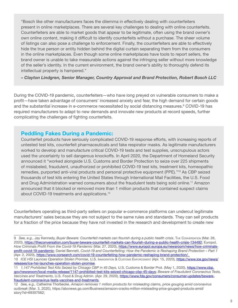"Bosch like other manufacturers faces the dilemma in effectively dealing with counterfeiters present in online marketplaces. There are several key challenges to dealing with online counterfeits. Counterfeiters are able to market goods that appear to be legitimate, often using the brand owner's own online content, making it difficult to identify counterfeits without a purchase. The sheer volume of listings can also pose a challenge to enforcement. Finally, the counterfeiters are able to effectively hide the true person or entity hidden behind the digital curtain separating them from the consumers in the online marketplaces. Even though some online marketplaces have tools to report sellers, the brand owner is unable to take measurable actions against the infringing seller without more knowledge of the seller's identity. In the current environment, the brand owner's ability to thoroughly defend its intellectual property is hampered."

– Clayton Lindgren, Senior Manager, Country Approval and Brand Protection, Robert Bosch LLC

During the COVID-19 pandemic, counterfeiters—who have long preyed on vulnerable consumers to make a profit—have taken advantage of consumers' increased anxiety and fear, the high demand for certain goods and the substantial increase in e-commerce necessitated by social distancing measures.<sup>9</sup> COVID-19 has required manufacturers to adapt to new demands and innovate new products at record speeds, further complicating the challenges of fighting counterfeits.

#### **Peddling Fakes During a Pandemic:**

Counterfeit products have seriously complicated COVID-19 response efforts, with increasing reports of untested test kits, counterfeit pharmaceuticals and fake respirator masks. As legitimate manufacturers worked to develop and manufacture critical COVID-19 tests and test supplies, unscrupulous actors used the uncertainty to sell dangerous knockoffs. In April 2020, the Department of Homeland Security announced it "worked alongside U.S. Customs and Border Protection to seize over 225 shipments of mislabeled, fraudulent, unauthorized or prohibited COVID-19 test kits, treatment kits, homeopathic remedies, purported anti-viral products and personal protective equipment (PPE)."<sup>10</sup> As CBP seized thousands of test kits entering the United States through International Mail Facilities, the U.S. Food and Drug Administration warned consumers about the fraudulent tests being sold online.<sup>11</sup> Amazon announced that it blocked or removed more than 1 million products that contained suspect claims about COVID-19 treatments and applications.<sup>12</sup>

Counterfeiters operating as third-party sellers on popular e-commerce platforms can undercut legitimate manufacturers' sales because they are not subject to the same rules and standards. They can sell products for a fraction of the price because they have not invested in the research and development to create new

<sup>9</sup> *See, e.g., Jay Kennedy, Buyer Beware: Counterfeit markets can flourish during a public health crisis, The Conversation (Mar. 26,* 2020), [https://theconversation.com/buyer-beware-counterfeit-markets-can-flourish-during-a-public-health-crisis-134492;](https://theconversation.com/buyer-beware-counterfeit-markets-can-flourish-during-a-public-health-crisis-134492) Europol, *How Criminals Profit From the Covid-19 Pandemic* (Mar. 27, 2020), [https://www.europol.europa.eu/newsroom/news/how-criminals](https://www.europol.europa.eu/newsroom/news/how-criminals-profit-covid-19-pandemic)[profit-covid-19-pandemic;](https://www.europol.europa.eu/newsroom/news/how-criminals-profit-covid-19-pandemic) Daniel Bennett, *Covid-19 and Counterfeiting: How the Pandemic is Reshaping Brand Protection – Part 1* (Apr. 2, 2020),<https://www.corsearch.com/covid-19-counterfeiting-how-pandemic-reshaping-brand-protection/>.

<sup>10</sup> *ICE HSI Launces Operation Stolen Promise*, U.S. IMMIGRATION & CUSTOMS ENFORCEMENT (Apr. 15, 2020), [https://www.ice.gov/news/](https://www.ice.gov/news/releases/ice-hsi-launches-operation-stolen-promise) [releases/ice-hsi-launches-operation-stolen-promise.](https://www.ice.gov/news/releases/ice-hsi-launches-operation-stolen-promise)

<sup>11</sup> *1,147 Prohibited Test Kits Seized by Chicago CBP in 45 Days*, U.S. Customs & Border Prot. (May 1, 2020), [https://www.cbp.](https://www.cbp.gov/newsroom/local-media-release/1147-prohibited-test-kits-seized-chicago-cbp-45-days) [gov/newsroom/local-media-release/1147-prohibited-test-kits-seized-chicago-cbp-45-days](https://www.cbp.gov/newsroom/local-media-release/1147-prohibited-test-kits-seized-chicago-cbp-45-days); *Beware of Fraudulent Coronavirus Tests, Vaccines and Treatments*, U.S. Food & Drug Admin. (Apr. 29, 2020), [https://www.fda.gov/consumers/consumer-updates/beware](https://www.fda.gov/consumers/consumer-updates/beware-fraudulent-coronavirus-tests-vaccines-and-treatments)[fraudulent-coronavirus-tests-vaccines-and-treatments.](https://www.fda.gov/consumers/consumer-updates/beware-fraudulent-coronavirus-tests-vaccines-and-treatments)

<sup>12</sup> *See, e.g.,* Catherine Thorbecke, *Amazon removes 1 million products for misleading claims, price gouging amid coronavirus outbreak* (Mar. 3, 2020), [https://abcnews.go.com/Business/amazon-cracks-million-misleading-price-gouged-products-amid/](https://abcnews.go.com/Business/amazon-cracks-million-misleading-price-gouged-products-amid/story?id=69357582) [story?id=69357582;](https://abcnews.go.com/Business/amazon-cracks-million-misleading-price-gouged-products-amid/story?id=69357582)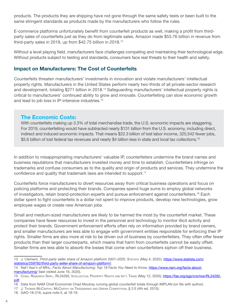products. The products they are shipping have not gone through the same safety tests or been built to the same stringent standards as products made by the manufacturers who follow the rules.

E-commerce platforms unfortunately benefit from counterfeit products as well, making a profit from thirdparty sales of counterfeits just as they do from legitimate sales. Amazon made \$53.76 billion in revenue from third-party sales in 2019, up from \$42.75 billion in 2018.<sup>13</sup>

Without a level playing field, manufacturers face challenges competing and maintaining their technological edge. Without products subject to testing and standards, consumers face real threats to their health and safety.

#### **Impact on Manufacturers: The Cost of Counterfeits**

Counterfeits threaten manufacturers' investments in innovation and violate manufacturers' intellectual property rights. Manufacturers in the United States perform nearly two-thirds of all private-sector research and development, totaling \$271 billion in 2018.<sup>14</sup> Safeguarding manufacturers' intellectual property rights is critical to manufacturers' continued ability to grow and innovate. Counterfeiting can slow economic growth and lead to job loss in IP-intensive industries.<sup>15</sup>

#### **The Economic Costs:**

With counterfeits making up 3.3% of total merchandise trade, the U.S. economic impacts are staggering. For 2019, counterfeiting would have subtracted nearly \$131 billion from the U.S. economy, including direct, indirect and induced economic impacts. That means \$22.3 billion of lost labor income, 325,542 fewer jobs, \$5.6 billion of lost federal tax revenues and nearly \$4 billion less in state and local tax collections.<sup>16</sup>

In addition to misappropriating manufacturers' valuable IP, counterfeiters undermine the brand names and business reputations that manufacturers invested money and time to establish. Counterfeiters infringe on trademarks and confuse consumers as to the quality and origin of products and services. They undermine the confidence and quality that trademark laws are intended to support.<sup>17</sup>

Counterfeits force manufacturers to divert resources away from critical business operations and focus on policing platforms and protecting their brands. Companies spend huge sums to employ global networks of investigators, retain brand-protection experts and pursue enforcement against counterfeiters.<sup>18</sup> Each dollar spent to fight counterfeits is a dollar not spent to improve products, develop new technologies, grow employee wages or create new American jobs.

Small and medium-sized manufacturers are likely to be harmed the most by the counterfeit market. These companies have fewer resources to invest in the personnel and technology to monitor illicit activity and protect their brands. Government enforcement efforts often rely on information provided by brand owners, and smaller manufacturers are less able to engage with government entities responsible for enforcing their IP rights. Smaller firms are also more at risk to be driven out of business by counterfeiters. They often offer fewer products than their larger counterparts, which means that harm from counterfeits cannot be easily offset. Smaller firms are less able to absorb the losses that come when counterfeiters siphon off their business.

<sup>13</sup> J. Clement, *Third-party seller share of Amazon platform 2007–2020*, Statista (May 4, 2020), [https://www.statista.com/](https://www.statista.com/statistics/259782/third-party-seller-share-of-amazon-platform/) [statistics/259782/third-party-seller-share-of-amazon-platform/](https://www.statista.com/statistics/259782/third-party-seller-share-of-amazon-platform/).

<sup>14</sup> Nat'l Ass'n of Mfrs., *Facts About Manufacturing: Top 18 Facts You Need to Know,* [https://www.nam.org/facts-about](https://www.nam.org/facts-about-manufacturing/)[manufacturing/](https://www.nam.org/facts-about-manufacturing/) (last visited June 16, 2020).

<sup>15</sup> CONG. RESEARCH SERV., RL34292, INTELLECTUAL PROPERTY RIGHTS AND INT'L TRADE (May 12, 2020), [https://fas.org/sgp/crs/row/RL34292.](https://fas.org/sgp/crs/row/RL34292.pdf) [pdf](https://fas.org/sgp/crs/row/RL34292.pdf).

<sup>16</sup> Data from NAM Chief Economist Chad Moutray running global counterfeit totals through IMPLAN (on file with author).

<sup>17</sup> J. THOMAS MCCARTHY, MCCARTHY ON TRADEMARKS AND UNFAIR COMPETITION, § 2:5 (4th ed. 2015).

<sup>18</sup> GAO-18-216, *supra* note 5, at 18-19.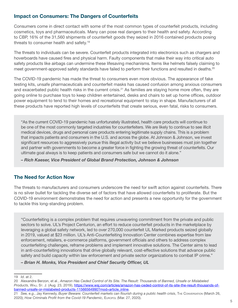#### **Impact on Consumers: The Dangers of Counterfeits**

Consumers come in direct contact with some of the most common types of counterfeit products, including cosmetics, toys and pharmaceuticals. Many can pose real dangers to their health and safety. According to CBP, 16% of the 31,560 shipments of counterfeit goods they seized in 2016 contained products posing threats to consumer health and safety.<sup>19</sup>

The threats to individuals can be severe. Counterfeit products integrated into electronics such as chargers and hoverboards have caused fires and physical harm. Faulty components that make their way into critical auto safety products like airbags can undermine these lifesaving mechanisms. Items like helmets falsely claiming to meet government-approved safety standards have failed to perform their functions and resulted in deaths.<sup>20</sup>

The COVID-19 pandemic has made the threat to consumers even more obvious. The appearance of fake testing kits, unsafe pharmaceuticals and counterfeit masks has caused confusion among anxious consumers and exacerbated public health risks in the current crisis.<sup>21</sup> As families are staying home more often, they are going online to purchase toys to keep children entertained, desks and chairs to set up home offices, outdoor power equipment to tend to their homes and recreational equipment to stay in shape. Manufacturers of all these products have reported high levels of counterfeits that create serious, even fatal, risks to consumers.

"As the current COVID-19 pandemic has unfortunately illustrated, health care products will continue to be one of the most commonly targeted industries for counterfeiters. We are likely to continue to see illicit medical devices, drugs and personal care products entering legitimate supply chains. This is a problem that impacts patients and consumers in the U.S. and across the globe. At Johnson & Johnson, we invest significant resources to aggressively pursue this illegal activity but we believe businesses must join together and partner with governments to become a greater force in fighting the growing threat of counterfeits. Our ultimate goal always is to keep patients and consumers safe but we cannot do it alone."

– Rich Kaeser, Vice President of Global Brand Protection, Johnson & Johnson

#### **The Need for Action Now**

The threats to manufacturers and consumers underscore the need for swift action against counterfeits. There is no silver bullet for tackling the diverse set of factors that have allowed counterfeits to proliferate. But the COVID-19 environment demonstrates the need for action and presents a new opportunity for the government to tackle this long-standing problem.

"Counterfeiting is a complex problem that requires unwavering commitment from the private and public sectors to solve. UL's Project Centurion, an effort to reduce counterfeit products in the marketplace by leveraging a global safety network, led to over 270,000 counterfeit UL Marked products seized globally in 2019, valued at \$23 million. UL's Anti-Counterfeiting Innovation Center combines expertise from law enforcement, retailers, e-commerce platforms, government officials and others to address complex counterfeiting challenges, reframe problems and implement innovative solutions. The Center aims to lead in anti-counterfeiting innovations that drive globally relevant, cost-effective solutions that advance public safety and build capacity within law enforcement and private sector organizations to combat IP crime."

– Brian H. Monks, Vice President and Chief Security Officer, UL

<sup>19</sup> *Id*. at 2.

<sup>20</sup> Alexandra Berzon, et al., *Amazon Has Ceded Control of Its Site. The Result: Thousands of Banned, Unsafe or Mislabeled Products*, Wall St. J. (Aug. 23, 2019), [https://www.wsj.com/articles/amazon-has-ceded-control-of-its-site-the-result-thousands-of](https://www.wsj.com/articles/amazon-has-ceded-control-of-its-site-the-result-thousands-of-banned-unsafe-or-mislabeled-products-11566564990?mod=article_inline)[banned-unsafe-or-mislabeled-products-11566564990?mod=article\\_inline.](https://www.wsj.com/articles/amazon-has-ceded-control-of-its-site-the-result-thousands-of-banned-unsafe-or-mislabeled-products-11566564990?mod=article_inline)

<sup>21</sup> See, e.g., Jay Kennedy, *Buyer Beware: Counterfeit markets can flourish during a public health crisis*, The Conversation (March 26, 2020); *How Criminals Profit from the Covid-19 Pandemic*, EUROPOL (Mar. 27, 2020).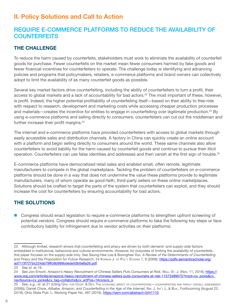# **II. Policy Solutions and Call to Action**

## REQUIRE E-COMMERCE PLATFORMS TO REDUCE THE AVAILABILITY OF **COUNTERFEITS**

## **THE CHALLENGE**

To reduce the harm caused by counterfeits, stakeholders must work to eliminate the availability of counterfeit goods for purchase. Fewer counterfeits on the market mean fewer consumers harmed by fake goods and fewer financial incentives for counterfeiters to operate. The challenge today is identifying and advancing policies and programs that policymakers, retailers, e-commerce platforms and brand owners can collectively adopt to limit the availability of as many counterfeit goods as possible.

Several key market factors drive counterfeiting, including the ability of counterfeiters to turn a profit, their access to global markets and a lack of accountability for bad actors.<sup>22</sup> The most important of these, however, is profit. Indeed, the higher potential profitability of counterfeiting itself—based on their ability to free-ride with respect to research, development and marketing costs while accessing cheaper production processes and materials—creates the incentive for entities to engage in counterfeiting over legitimate production.<sup>23</sup> By using e-commerce platforms and selling directly to consumers, counterfeiters can cut out the middleman and further increase their profit margins.<sup>24</sup>

The internet and e-commerce platforms have provided counterfeiters with access to global markets through easily accessible sales and distribution channels. A factory in China can quickly create an online account with a platform and begin selling directly to consumers around the world. These same channels also allow counterfeiters to avoid liability for the harm caused by counterfeit goods and continue to pursue their illicit operation. Counterfeiters can use false identities and addresses and then vanish at the first sign of trouble.<sup>25</sup>

E-commerce platforms have democratized retail sales and enabled small, often remote, legitimate manufacturers to compete in the global marketplace. Tackling the problem of counterfeiters on e-commerce platforms should be done in a way that does not undermine the value these platforms provide to legitimate manufacturers, many of whom operate as good-faith, third-party sellers on these online marketplaces. Solutions should be crafted to target the parts of the system that counterfeiters can exploit, and they should increase the cost for counterfeiters by ensuring accountability for bad actors.

## **THE SOLUTIONS**

**Congress should enact legislation to require e-commerce platforms to strengthen upfront screening of** potential vendors. Congress should require e-commerce platforms to take the following key steps or face contributory liability for infringement due to vendor activities on their platforms:

<sup>22</sup> Although limited, research shows that counterfeiting and piracy are driven by both demand- and supply-side factors embedded in institutional, behavioral and cultural environments. However, for purposes of limiting the *availability* of counterfeits, this paper focuses on the supply-side only. *See* Seung-Hee Lee & Boonghee Yoo, *A Review of the Determinants of Counterfeiting and Piracy and the Proposition for Future Research*, 24 KOREAN J. OF POL'Y STUDIES 1, 6 (2009), [https://pdfs.semanticscholar.org/](https://pdfs.semanticscholar.org/ad71/3f727bc224ab79ffc8b999bdede50b0e8a26.pdf) [ad71/3f727bc224ab79ffc8b999bdede50b0e8a26.pdf](https://pdfs.semanticscholar.org/ad71/3f727bc224ab79ffc8b999bdede50b0e8a26.pdf).

<sup>23</sup> *See id*. at 19.

<sup>24</sup> *See* Jon Emont, *Amazon's Heavy Recruitment of Chinese Sellers Puts Consumers at Risk*, WALL ST. J. (Nov. 11, 2019), https:// www.wsj.com/articles/amazons-heavy-recruitment-of-chinese-sellers-puts-consumers-at-risk-11573489075?mod=cx\_picks&cx\_ navSource=cx\_picks&cx\_tag=collabctx&cx\_artPos=1#cxrecs\_s.

<sup>25</sup> *See, e.g., id*. at 21 (citing ORG. FOR COOP. & DEV, THE ECONOMIC IMPACT OF COUNTERFEITING—COUNTERFEITING AND PIRACY OVERALL ASSESSMENT (2006)); Daniel Chow, *Alibaba, Amazon, and Counterfeiting in the Age of the Internet*, NW. J. INT'L L. & BUS., Forthcoming (August 22, 2019); Ohio State Pub. L. Working Paper No. 497 (2019),<https://ssrn.com/abstract=3441110>.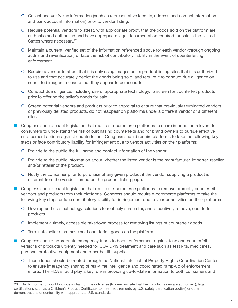- { Collect and verify key information (such as representative identity, address and contact information and bank account information) prior to vendor listing.
- { Require potential vendors to attest, with appropriate proof, that the goods sold on the platform are authentic and authorized and have appropriate legal documentation required for sale in the United States where necessary.<sup>26</sup>
- { Maintain a current, verified set of the information referenced above for each vendor (through ongoing audits and reverification) or face the risk of contributory liability in the event of counterfeiting enforcement.
- { Require a vendor to attest that it is only using images on its product listing sites that it is authorized to use and that accurately depict the goods being sold, and require it to conduct due diligence on submitted images to ensure that they appear to be accurate.
- { Conduct due diligence, including use of appropriate technology, to screen for counterfeit products prior to offering the seller's goods for sale.
- { Screen potential vendors and products prior to approval to ensure that previously terminated vendors, or previously delisted products, do not reappear on platforms under a different vendor or a different alias.
- Congress should enact legislation that requires e-commerce platforms to share information relevant for consumers to understand the risk of purchasing counterfeits and for brand owners to pursue effective enforcement actions against counterfeiters. Congress should require platforms to take the following key steps or face contributory liability for infringement due to vendor activities on their platforms:
	- { Provide to the public the full name and contact information of the vendor.
	- { Provide to the public information about whether the listed vendor is the manufacturer, importer, reseller and/or retailer of the product.
	- { Notify the consumer prior to purchase of any given product if the vendor supplying a product is different from the vendor named on the product listing page.
- Congress should enact legislation that requires e-commerce platforms to remove promptly counterfeit vendors and products from their platforms. Congress should require e-commerce platforms to take the following key steps or face contributory liability for infringement due to vendor activities on their platforms:
	- { Develop and use technology solutions to routinely screen for, and proactively remove, counterfeit products.
	- $\circ$  Implement a timely, accessible takedown process for removing listings of counterfeit goods.
	- { Terminate sellers that have sold counterfeit goods on the platform.
- Congress should appropriate emergency funds to boost enforcement against fake and counterfeit versions of products urgently needed for COVID-19 treatment and care such as test kits, medicines, personal protective equipment and other health supplies:
	- { Those funds should be routed through the National Intellectual Property Rights Coordination Center to ensure interagency sharing of real-time intelligence and coordinated ramp-up of enforcement efforts. The FDA should play a key role in providing up-to-date information to both consumers and

<sup>26</sup> Such information could include a chain of title or license (to demonstrate that their product sales are authorized), legal certifications such as a Children's Product Certificate (to meet requirements by U.S. safety certification bodies) or other demonstrations of conformity with appropriate U.S. standards.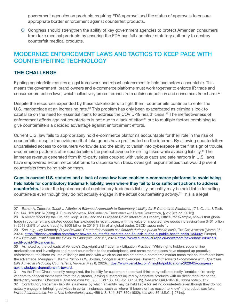government agencies on products requiring FDA approval and the status of approvals to ensure appropriate border enforcement against counterfeit products.

{ Congress should strengthen the ability of key government agencies to protect American consumers from fake medical products by ensuring the FDA has full and clear statutory authority to destroy counterfeit medical products.

## MODERNIZE ENFORCEMENT LAWS AND TACTICS TO KEEP PACE WITH COUNTERFEITING TECHNOLOGY

#### **THE CHALLENGE**

Fighting counterfeits requires a legal framework and robust enforcement to hold bad actors accountable. This means the government, brand owners and e-commerce platforms must work together to enforce IP, trade and consumer protection laws, which collectively protect brands from unfair competition and consumers from harm.<sup>27</sup>

Despite the resources expended by these stakeholders to fight them, counterfeits continue to enter the U.S. marketplace at an increasing rate.<sup>28</sup> This problem has only been exacerbated as criminals look to capitalize on the need for essential items to address the COVID-19 health crisis.<sup>29</sup> The ineffectiveness of enforcement efforts against counterfeits is not due to a lack of effort<sup>30</sup> but to multiple factors combining to give counterfeiters a decided advantage against enforcement efforts.

Current U.S. law fails to appropriately hold e-commerce platforms accountable for their role in the rise of counterfeits, despite the evidence that fake goods have proliferated on the internet. By allowing counterfeiters unparalleled access to consumers worldwide and the ability to vanish into cyberspace at the first sign of trouble, e-commerce platforms offer counterfeiters the perfect avenue for selling fakes while avoiding liability.<sup>31</sup> The immense revenue generated from third-party sales coupled with various gaps and safe harbors in U.S. laws have empowered e-commerce platforms to dispense with basic oversight responsibilities that would prevent counterfeits from being sold on them.

**Gaps in current U.S. statutes and a lack of case law have enabled e-commerce platforms to avoid being held liable for contributory trademark liability, even where they fail to take sufficient actions to address counterfeits.** Under the legal concept of contributory trademark liability, an entity may be held liable for selling

counterfeits even though they do not actually engage in the actual counterfeiting activity.<sup>32</sup> This is a legal

<sup>27</sup> Esther A. Zuccaro, *Gucci v. Alibaba: A Balanced Approach to Secondary Liability for E-Commerce Platforms*, 17 N.C. J.L. & Tech. On. 144, 159 (2016) (citing J. THOMAS MCCARTHY, MCCARTHY ON TRADEMARKS AND UNFAIR COMPETITION, § 2:2 (4th ed. 2015)).

<sup>28</sup> A recent report by the Org. for Coop. & Dev and the European Union Intellectual Property Office, for example, shows that global trade in counterfeit and pirated goods has exploded in recent years, with the value of imported fake goods increasing from \$461 billion in 2013 (2.5% of world trade) to \$509 billion in 2016 (3.3% of all global trade). OECD, *supra* note 1.

<sup>29</sup> See, e.g., Jay Kennedy, Buyer Beware: Counterfeit markets can flourish during a public health crisis, THE Conversation (March 26, 2020), [https://theconversation.com/buyer-beware-counterfeit-markets-can-flourish-during-a-public-health-crisis-134492;](https://theconversation.com/buyer-beware-counterfeit-markets-can-flourish-during-a-public-health-crisis-134492) Europol, *How Criminals Profit From the Covid-19 Pandemic* (Mar. 27, 2020) [https://www.europol.europa.eu/newsroom/news/how-criminals](https://www.europol.europa.eu/newsroom/news/how-criminals-profit-covid-19-pandemic)[profit-covid-19-pandemic.](https://www.europol.europa.eu/newsroom/news/how-criminals-profit-covid-19-pandemic)

<sup>30</sup> As noted by the coheads of Venable's Copyright and Trademark Litigation Practice, "While rights holders scour online marketplaces and investigate and report counterfeits to the marketplaces, and some marketplaces have stepped up proactive enforcement, the sheer volume of listings and ease with which sellers can enter the e-commerce market mean that counterfeiters have the advantage. Meaghan H. Kent & Nicholas W. Jordan, *Congress Acknowledges Dramatic Shift Toward E-commerce with Bipartisan Bills Aimed at Reducing Counterfeits*, VENABLE (May 8, 2020), [https://www.venable.com/insights/publications/2020/05/congress](https://www.venable.com/insights/publications/2020/05/congress-acknowledges-dramatic-shift-toward)[acknowledges-dramatic-shift-toward.](https://www.venable.com/insights/publications/2020/05/congress-acknowledges-dramatic-shift-toward)

<sup>31</sup> As the Third Circuit recently recognized, the inability for customers to contact third-party sellers directly "enables third-party vendors to conceal themselves from the customer, leaving customers injured by defective products with no direct recourse to the third-party vendor." *Oberdorf v. Amazon.com Inc.*, 930 F.3d 136, 145 (3d. Cir. 2019). *See also* GAO-18-216, *supra* note 5, at 2. 32 Contributory trademark liability is a means by which an entity may be held liable for selling counterfeits even though they do not actually engage in infringing activities in certain instances, such as where "it knows or has reason to know" the product was fake. *Inwood Laboratories, Inc. v. Ives Laboratories, Inc.*, 456 U.S. 844, 847-850 (1982); *see also* 35 U.S.C. § 271(c).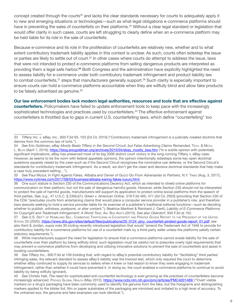concept created through the courts<sup>33</sup> and lacks the clear standards necessary for courts to adequately apply it to new and emerging situations or technologies—such as what legal obligations e-commerce platforms should have in preventing the sales of counterfeits on their platforms.<sup>34</sup> Without a clear legal standard or legislation that would offer clarity in such cases, courts are left struggling to clearly define when an e-commerce platform may be held liable for its role in the sale of counterfeits.

Because e-commerce and its role in the proliferation of counterfeits are relatively new, whether and to what extent contributory trademark liability applies in this context is unclear. As such, courts often sidestep the issue or parties are likely to settle out of court.<sup>35</sup> In other cases where courts do attempt to address the issue, laws that were not intended to protect e-commerce platforms from selling dangerous products are interpreted as providing them a legal safe harbor.<sup>36</sup> Both Congress and the administration have explicitly highlighted the need to assess liability for e-commerce under both contributory trademark infringement and product liability law to combat counterfeits,<sup>37</sup> steps that manufacturers generally support.<sup>38</sup> Such clarity is especially important to ensure courts can hold e-commerce platforms accountable when they are willfully blind and allow fake products to be falsely advertised as genuine.<sup>39</sup>

**Our law enforcement bodies lack modern legal authorities, resources and tools that are effective against** 

**counterfeiters.** Policymakers have failed to update enforcement tools to keep pace with the increasingly sophisticated technologies and practices used by counterfeiters.<sup>40</sup> The effective enforcement against counterfeiters is throttled due to gaps in current U.S. counterfeiting laws, which define "counterfeiting" too

35 *See* Paul Mozur, *In Fight Against Fakes, Alibaba and Owner of Gucci Go From Adversaries to Partners*, N.Y. TIMES (Aug. 3, 2017), <https://www.nytimes.com/2017/08/03/business/alibaba-kering-fakes-luxury.html>.

36 One such statute is Section 230 of the Communications Decency Act, which as intended to shield online platforms for *communication* on their platform, but not the sale of dangerous harmful goods. However, while Section 230 should not be interpreted to protect the sale of harmful goods, manufacturers still support its application to protect online social platforms from the speech of third parties. *See, e.g.,* 47 U.S.C. § 230(c)(1); *Green v. American Online*, 318 F.3d 465, 471 (3d Cir. 2003) (providing that Section 230 of the CDA "precludes courts from entertaining claims that would place a computer service provider in a publisher's role, and therefore bars lawsuits seeking to hold a service provider liable for its exercise of a publisher's traditional editorial functions—such as deciding whether to publish, withdraw, postpone, or alter content."); Beatrice Martinet & Reinhard J. Oertli, *Liability of E-Commerce Platforms for Copyright and Trademark Infringement: A World Tour*, AM. BAR ASS'<sup>N</sup> (2015). *See also Oberdorf*, 930 F.3d at 152.

37 See U.S. Dep't of Homeland Sec., Combating Trafficking in Counterfeit and Pirated Goods Report to the President of the United STATES 33 (2020), [https://www.dhs.gov/sites/default/files/publications/20\\_0124\\_plcy\\_counterfeit-pirated-goods-report\\_01.pdf;](https://www.dhs.gov/sites/default/files/publications/20_0124_plcy_counterfeit-pirated-goods-report_01.pdf) see *also* Kent & Jordan, *supra* note 30 (noting recently introduced legislation that would "amend the Trademark Act of 1946 to provide for contributory liability for e-commerce platforms for use of a counterfeit mark by a third-party seller unless the platforms satisfy certain statutory requirements.").

38 While manufacturers support the need for legislation to ensure that e-commerce platforms cannot evade liability for the sale of counterfeits over their platform by being willfully blind, such legislation must be careful not to prescribe overly rigid requirements that may prevent e-commerce platforms from developing and utilizing innovative solutions to prevent the sale of counterfeits and assist in locating counterfeiters.

39 *See Tiffany Inc.*, 600 F.3d at 109 (holding that, with regard to eBay's potential contributory liability for "facilitating" third parties' infringing sales, the relevant standard to assess eBay's liability was the Inwood test, which only required the court to determine whether eBay continued to supply its services to sellers when *it knew or had reason to know* they were engaging in trademark infringement, rather than whether it could have prevented it. In doing so, the court enabled e-commerce platforms to continue to avoid liability by being willfully ignorant).

40 *See* Christo Hall, *The need for sophisticated anti-counterfeit technology is ever-growing as the practises of counterfeiters become increasingly advanced,* PATHOG GLOBAL HEALTH (May 2012),<https://www.ncbi.nlm.nih.gov/pmc/articles/PMC4001489/>("Overt visible markers on a drug's packaging have been commonly used to identify the genuine from the fake, but the holograms and distinguishing markers applied to the blister foil, film or paper substrates of the packaging are mimicked and imitated to a high level of accuracy. To the untrained eye, the genuine and fake examples can look identical.").

<sup>33</sup> *Tiffany Inc. v. eBay, Inc.*, 600 F.3d 93, 103 (2d Cir. 2010) ("Contributory trademark infringement is a judicially created doctrine that derives from the common law of torts.").

<sup>34</sup> See Eric Goldman, eBay Mostly Beats Tiffany in the Second Circuit, but False Advertising Claims Remanded, TECH. & MKTG. L. BLog (April 1, 2010), [https://blog.ericgoldman.org/archives/2010/04/ebay\\_mostly\\_bea.htm](https://blog.ericgoldman.org/archives/2010/04/ebay_mostly_bea.htm) ("In a subtle opinion with potentially significant implications, eBay has preserved most of its [big 2008 district court victory](https://blog.ericgoldman.org/archives/2008/07/tiffany_v_ebay_1.htm) in the long-running Tiffany v. eBay case. However, as seems to be the norm with federal appellate opinions, the opinion intentionally sidesteps some key open doctrinal questions squarely raised by the case–such as if the Second Circuit recognizes the nominative use defense, or the Second Circuit's standards for contributory trademark infringement. As a result, we don't get the clean and decisive doctrinal standards that help make a case truly precedent-setting…").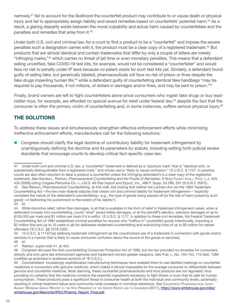narrowly,<sup>41</sup> fail to account for the likelihood the counterfeit product may contribute to or cause death or physical injury and fail to appropriately assign liability and award remedies based on counterfeits' potential harm.<sup>42</sup> As a result, a glaring disparity exists between the moral culpability and actual harm caused by counterfeiters and the penalties and remedies that arise from it.<sup>43</sup>

Under both U.S. civil and criminal law, for a court to find a product to be a "counterfeit" and impose the severe penalties such a designation carries with it, the product must be a clear copy of a registered trademark.<sup>44</sup> But products that are almost identical and contain trademarks that differ by only a couple of letters are merely "infringing marks,"<sup>45</sup> which carries no threat of jail time or even monetary penalties. This means that a defendant selling unverified, fake COVID-19 test kits, for example, would not be considered a "counterfeiter" and would face no risk to penalty under IP laws because no patent exists for such test kits yet. Similarly, a defendant found guilty of selling fake, but generically labeled, pharmaceuticals will face no risk of prison or fines despite the fake drugs imperiling human life,<sup>46</sup> while a defendant guilty of counterfeiting identical fake handbags "may be required to pay thousands, if not millions, of dollars in damages and/or fines, and may be sent to prison."<sup>47</sup>

Finally, brand owners are left to fight counterfeiters alone since consumers who ingest fake drugs or buy leadridden toys, for example, are afforded no special avenue for relief under federal law,<sup>48</sup> despite the fact that the consumer is often the primary victim of counterfeiting and, in some instances, suffers serious physical injury.<sup>49</sup>

### **THE SOLUTIONS**

To address these issues and simultaneously strengthen effective enforcement efforts while minimizing ineffective enforcement efforts, manufacturers call for the following solutions:

**Congress should clarify the legal doctrine of contributory liability for trademark infringement by** unambiguously defining the doctrine and its parameters by statute, including setting forth judicial review standards that encourage courts to develop critical fact-specific case law.

<sup>41</sup> Under both civil and criminal U.S. law, a "counterfeit" trademark is defined as a "spurious mark" that is "identical with, or substantially distinguishable from a registered mark," and whose use is "likely to cause confusion." 15 U.S.C. § 1127. In practice, courts are also often reluctant to label a product a counterfeit unless the infringing defendant's is a clear copy of the registered trademark. *See* Sandra L. Rierson, *Pharmaceutical Counterfeiting and the Puzzle of Remedies*, 8 WAKE FOREST INTELL. PROP. L.J. 433, 434 (2008) (citing *Colgate-Palmolive Co. v. J.M.D. All-Star Import and Export, Inc.*, 486 F. Supp. 2d 286, 291 (S.D.N.Y. 2007)). 42 *See* Rierson, *Pharmaceutical Counterfeiting*, at 445-448, 454 (noting that neither the Lanham Act nor the 1984 Trademark Counterfeiting Act—the two main federal statutes that create civil and criminal liability for trademark infringement—"explicitly considers the nature of the defendant's counterfeiting—*e.g.*, the type of goods being passed off [or the risk of harm posed by such good]—in fashioning his punishment or the extent of his liability"). 43 *Id*.

<sup>44</sup> While injunctive relief, rather than damages, is all that is available in the form of relief in trademark infringement cases, when a defendant crosses into counterfeiting, courts "shall" award treble damages, or at the plaintiff's election, statutory damages of up to \$100,000 per mark and \$1 million per mark if it is willful. 15 U.S.C. § 1117. In addition to these civil remedies, the Federal Trademark Counterfeiting Act of 1984 established criminal penalties for anyone who "traffics in" counterfeit goods intentionally, imposing a \$2 million fine and up to 10 years in jail for deliberate trademark counterfeiting and authorizing fines of up to \$5 million for repeat offenders.18 U.S.C. §§ 2318-2320.

<sup>45 15</sup> U.S.C. § 1114(1)(a) (defining trademark infringement as the unauthorized use of a trademark in connection with goods and/or services in a manner that is likely to cause consumer confusion about the source of the goods or services). 46 *Id*.

<sup>47</sup> Rierson, *supra* note 41, at 454.

<sup>48</sup> Congress did pass the Anti-counterfeiting Consumer Protection Act of 1996, but the law provided no remedies for consumers directly and only gave law enforcement agencies and trademark owners greater weapons. *See* Pub. L. No. 104-153, 110 Stat. 1386 (codified as amended in scattered sections of 18 U.S.C.).

<sup>49</sup> Counterfeiters' increasingly sophisticated manufacturing techniques have enabled them to use falsified markings on counterfeit medicines in connection with genuine medicine, which makes it almost impossible for the average consumer to differentiate between genuine and counterfeit medicine. Most alarming, these counterfeit pharmaceuticals and food products are not regulated, thus providing no certainty that the medicine contains the essential ingredients necessary to fight illness or even that its safe for human consumption. These products pose a significant threat to consumer health at both the individual and community levels, potentially resulting in critical treatment failure and community-wide increases in microbial resistance. *See* COUNTERFEIT PHARMACEUTICAL INTERAGENCY WORKING GROUP REPORT TO THE VICE PRESIDENT OF THE UNITED STATES AND TO CONGRESS (2011), [https://www.whitehouse.gov/sites/](https://www.whitehouse.gov/sites/whitehouse.gov/files/omb/IPEC/Pharma_Report_Final.pdf) [whitehouse.gov/files/omb/IPEC/Pharma\\_Report\\_Final.pdf.](https://www.whitehouse.gov/sites/whitehouse.gov/files/omb/IPEC/Pharma_Report_Final.pdf)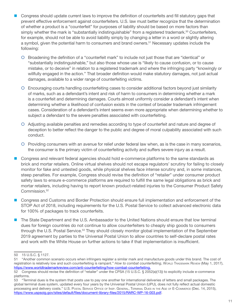- Congress should update current laws to improve the definition of counterfeits and fill statutory gaps that prevent effective enforcement against counterfeiters. U.S. law must better recognize that the determination of whether a product is a "counterfeit" for purposes of liability should be based on more factors than simply whether the mark is "substantially indistinguishable" from a registered trademark.<sup>50</sup> Counterfeiters, for example, should not be able to avoid liability simply by changing a letter in a word or slightly altering a symbol, given the potential harm to consumers and brand owners.<sup>51</sup> Necessary updates include the following:
	- { Broadening the definition of a "counterfeit mark" to include not just those that are "identical" or "substantially indistinguishable," but also those whose use is "likely to cause confusion, or to cause mistake, or to deceive" in relation to a registered trademark and where the infringing party "knowingly or willfully engaged in the action." That broader definition would make statutory damages, not just actual damages, available to a wider range of counterfeiting victims.
	- { Encouraging courts handling counterfeiting cases to consider additional factors beyond just similarity of marks, such as a defendant's intent and risk of harm to consumers in determining whether a mark is a counterfeit and determining damages. Courts almost uniformly consider a defendant's intent when determining whether a likelihood of confusion exists in the context of broader trademark infringement cases. Consideration of a defendant's intent seems even more appropriate when determining whether to subject a defendant to the severe penalties associated with counterfeiting.
	- { Adjusting available penalties and remedies according to type of counterfeit and nature and degree of deception to better reflect the danger to the public and degree of moral culpability associated with such conduct.
	- { Providing consumers with an avenue for relief under federal law when, as is the case in many scenarios, the consumer is the primary victim of counterfeiting activity and suffers severe injury as a result.
- Congress and relevant federal agencies should hold e-commerce platforms to the same standards as brick and mortar retailers. Online virtual shelves should not escape regulators' scrutiny for failing to closely monitor for fake and untested goods, while physical shelves face intense scrutiny and, in some instances, steep penalties. For example, Congress should revise the definition of "retailer" under consumer product safety laws to ensure e-commerce platforms are required to fulfill the same legal obligations as brick and mortar retailers, including having to report known product-related injuries to the Consumer Product Safety Commission.<sup>52</sup>
- Congress and Customs and Border Protection should ensure full implementation and enforcement of the STOP Act of 2018, including requirements for the U.S. Postal Service to collect advanced electronic data for 100% of packages to track counterfeits.
- The State Department and the U.S. Ambassador to the United Nations should ensure that low terminal dues for foreign countries do not continue to allow counterfeiters to cheaply ship goods to consumers through the U.S. Postal Service.<sup>53</sup> They should closely monitor global implementation of the September 2019 agreement by parties to the Universal Postal Union to allow countries to self-declare postal rates and work with the White House on further actions to take if that implementation is insufficient.

<sup>50 15</sup> U.S.C. § 1127.

<sup>51 &</sup>quot;Another common scenario occurs when infringers register a similar mark and manufacture goods under this brand. The cost of registration is relatively low and such counterfeiting is rampant." *How to combat counterfeiting*, WORLD TRADEMARK REVIEW (May 1, 2017), <https://www.worldtrademarkreview.com/anti-counterfeiting/how-combat-counterfeiting>.

<sup>52</sup> Congress should revise the definition of "retailer" under the CPSA (15 U.S.C. § 2052(a)(13)) to explicitly include e-commerce platforms.

<sup>53 &</sup>quot;Terminal dues is the system that posts use to pay one another for international deliveries of letters and small packages. The global terminal dues system, updated every four years by the Universal Postal Union (UPU), does not fully reflect actual domestic processing and delivery costs." U.S. POSTAL SERVICE OFFICE OF INSP. GENERAL, TERMINAL DUES IN THE AGE OF E-COMMERCE (Dec. 14, 2015), <https://www.uspsoig.gov/sites/default/files/document-library-files/2015/RARC-WP-16-003.pdf>.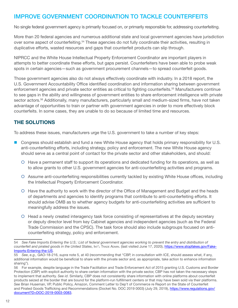## IMPROVE GOVERNMENT COORDINATION TO TACKLE COUNTERFEITS

No single federal government agency is primarily focused on, or primarily responsible for, addressing counterfeiting.

More than 20 federal agencies and numerous additional state and local government agencies have jurisdiction over some aspect of counterfeiting.<sup>54</sup> These agencies do not fully coordinate their activities, resulting in duplicative efforts, wasted resources and gaps that counterfeit products can slip through.

NIPRCC and the White House Intellectual Property Enforcement Coordinator are important players in attempts to better coordinate these efforts, but gaps persist. Counterfeiters have been able to probe weak spots in certain agencies—such as government procurement channels—to spread counterfeit goods.

Those government agencies also do not always effectively coordinate with industry. In a 2018 report, the U.S. Government Accountability Office identified coordination and information sharing between government enforcement agencies and private sector entities as critical to fighting counterfeits.<sup>55</sup> Manufacturers continue to see gaps in the ability and willingness of government entities to share enforcement intelligence with private sector actors.<sup>56</sup> Additionally, many manufacturers, particularly small and medium-sized firms, have not taken advantage of opportunities to train or partner with government agencies in order to more effectively block counterfeits. In some cases, they are unable to do so because of limited time and resources.

## **THE SOLUTIONS**

To address these issues, manufacturers urge the U.S. government to take a number of key steps:

- Congress should establish and fund a new White House agency that holds primary responsibility for U.S. anti-counterfeiting efforts, including strategy, policy and enforcement. The new White House agency should serve as a central point of contact for the private sector and other stakeholders, and should:
	- { Have a permanent staff to support its operations and dedicated funding for its operations, as well as to allow grants to other U.S. government agencies for anti-counterfeiting activities and programs.
	- { Assume anti-counterfeiting responsibilities currently tackled by existing White House offices, including the Intellectual Property Enforcement Coordinator.
	- { Have the authority to work with the director of the Office of Management and Budget and the heads of departments and agencies to identify programs that contribute to anti-counterfeiting efforts. It should advise OMB as to whether agency budgets for anti-counterfeiting activities are sufficient to meaningfully address the issues.
	- { Head a newly created interagency task force consisting of representatives at the deputy secretary or deputy director level from key Cabinet agencies and independent agencies (such as the Federal Trade Commission and the CPSC). The task force should also include subgroups focused on anticounterfeiting strategy, policy and enforcement.

<sup>54</sup> *See Fake Imports Entering the U.S.: List of federal government agencies working to prevent the entry and distribution of counterfeit and pirated goods in the United States*, INT'L TRADE ADMIN. (last visited June 17, 2020), [https://www.stopfakes.gov/Fake-](https://www.stopfakes.gov/Fake-Imports-Entering-the-US)[Imports-Entering-the-US.](https://www.stopfakes.gov/Fake-Imports-Entering-the-US)

<sup>55</sup> *See*, *e.g.,* GAO-18-216, *supra* note 5, at 40 (recommending that "CBP, in consultation with ICE, should assess what, if any, additional information would be beneficial to share with the private sector and, as appropriate, take action to enhance information sharing").

<sup>56</sup> For example, despite language in the Trade Facilitation and Trade Enforcement Act of 2015 granting U.S. Customs and Border Protection (CBP) with explicit authority to share certain information with the private sector, CBP has not taken the necessary steps to implement that authority. *See id*. Similarly, CBP does not consistently share information with online platforms about counterfeit products seized at the border that are bound for the platform-run fulfillment centers or that may have been sold via their platforms. *See* Brian Huseman, VP, Public Policy, Amazon, Comment Letter to Dep't of Commerce re Report on the State of Counterfeit and Pirated Goods Trafficking and Recommendations (Docket No. DOC 2019 0003) (July 29, 2019), [https://www.regulations.gov/](https://www.regulations.gov/document?D=DOC-2019-0003-0083) [document?D=DOC-2019-0003-0083.](https://www.regulations.gov/document?D=DOC-2019-0003-0083)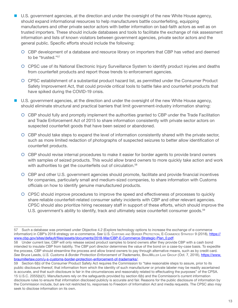- U.S. government agencies, at the direction and under the oversight of the new White House agency, should expand informational resources to help manufacturers battle counterfeiting, equipping manufacturers and other private sector actors with better information on bad-faith actors as well as on trusted importers. These should include databases and tools to facilitate the exchange of risk assessment information and lists of known violators between government agencies, private sector actors and the general public. Specific efforts should include the following:
	- { CBP development of a database and resource library on importers that CBP has vetted and deemed to be "trusted."<sup>57</sup>
	- { CPSC use of its National Electronic Injury Surveillance System to identify product injuries and deaths from counterfeit products and report those trends to enforcement agencies.
	- { CPSC establishment of a substantial product hazard list, as permitted under the Consumer Product Safety Improvement Act, that could provide critical tools to battle fake and counterfeit products that have spiked during the COVID-19 crisis.
- U.S. government agencies, at the direction and under the oversight of the new White House agency, should eliminate structural and practical barriers that limit government-industry information sharing:
	- { CBP should fully and promptly implement the authorities granted to CBP under the Trade Facilitation and Trade Enforcement Act of 2015 to share information consistently with private sector actors on suspected counterfeit goods that have been seized or abandoned.
	- { CBP should take steps to expand the level of information consistently shared with the private sector, such as more limited redaction of photographs of suspected seizures to better allow identification of counterfeit products.
	- { CBP should revise internal procedures to make it easier for border agents to provide brand owners with samples of seized products. This would allow brand owners to more quickly take action and work with authorities to get the counterfeits out of circulation.<sup>58</sup>
	- { CBP and other U.S. government agencies should promote, facilitate and provide financial incentives for companies, particularly small and medium-sized companies, to share information with Customs officials on how to identify genuine manufactured products.
	- { CPSC should improve procedures to improve the speed and effectiveness of processes to quickly share reliable counterfeit-related consumer safety incidents with CBP and other relevant agencies. CPSC should also prioritize hiring necessary staff in support of these efforts, which should improve the U.S. government's ability to identify, track and ultimately seize counterfeit consumer goods.<sup>59</sup>

<sup>57</sup> Such a database was promised under Objective 4.2 (Explore technology options to increase the exchange of e-commerce information) in CBP's 2018 strategy on e-commerce. *See* U.S. CUSTOMS AND BORDER PROTECTION, E-COMMERCE STRATEGY 9 (2018), [https://](https://www.cbp.gov/sites/default/files/assets/documents/2018-Mar/CBP-E-Commerce-Strategic-Plan_0.pdf) [www.cbp.gov/sites/default/files/assets/documents/2018-Mar/CBP-E-Commerce-Strategic-Plan\\_0.pdf](https://www.cbp.gov/sites/default/files/assets/documents/2018-Mar/CBP-E-Commerce-Strategic-Plan_0.pdf).

<sup>58</sup> Under current law, CBP will only release seized product samples to brand owners after they provide CBP with a cash bond intended to insulate CBP from liability. The CBP port director determines the value of the bond on a case-by-case basis. To expedite the process, CBP should streamline the process and allow brand owners to pay through alternative means, such as by credit card. See Bruce Leeds, U.S. Customs & Border Protection Enforcement of Trademarks, BrauMILLER Law Group (Oct. 7, 2018), [https://www.](https://www.braumillerlaw.com/u-s-customs-border-protection-enforcement-of-trademarks/) [braumillerlaw.com/u-s-customs-border-protection-enforcement-of-trademarks/](https://www.braumillerlaw.com/u-s-customs-border-protection-enforcement-of-trademarks/).

<sup>59</sup> Section 6(b) of the Consumer Product Safety Act requires the Commission to "take reasonable steps to assure, prior to its public disclosure thereof, that information from which the identity of such manufacturer or private labeler may be readily ascertained is accurate, and that such disclosure is fair in the circumstances and reasonably related to effectuating the purposes" of the CPSA. 15 U.S.C. 2055(b)(1). Manufacturers rely on the safeguards provided by section 6(b) and the Commission's current information disclosure rules to ensure that information disclosed publicly is accurate and fair. Reasons for the public disclosure of information by the Commission include, but are not restricted to, responses to Freedom of Information Act and media requests. The CPSC also may seek to disclose information on its own.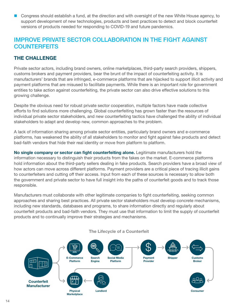**Congress should establish a fund, at the direction and with oversight of the new White House agency, to** support development of new technologies, products and best practices to detect and block counterfeit versions of products needed for responding to COVID-19 and future pandemics.

## IMPROVE PRIVATE SECTOR COLLABORATION IN THE FIGHT AGAINST **COUNTERFEITS**

### **THE CHALLENGE**

Private sector actors, including brand owners, online marketplaces, third-party search providers, shippers, customs brokers and payment providers, bear the brunt of the impact of counterfeiting activity. It is manufacturers' brands that are infringed, e-commerce platforms that are hijacked to support illicit activity and payment platforms that are misused to facilitate payments. While there is an important role for government entities to take action against counterfeiting, the private sector can also drive effective solutions to this growing challenge.

Despite the obvious need for robust private sector cooperation, multiple factors have made collective efforts to find solutions more challenging. Global counterfeiting has grown faster than the resources of individual private sector stakeholders, and new counterfeiting tactics have challenged the ability of individual stakeholders to adapt and develop new, common approaches to the problem.

A lack of information sharing among private sector entities, particularly brand owners and e-commerce platforms, has weakened the ability of all stakeholders to monitor and fight against fake products and detect bad-faith vendors that hide their real identity or move from platform to platform.

**No single company or sector can fight counterfeiting alone.** Legitimate manufacturers hold the information necessary to distinguish their products from the fakes on the market. E-commerce platforms hold information about the third-party sellers dealing in fake products. Search providers have a broad view of how actors can move across different platforms. Payment providers are a critical piece of tracing illicit gains to counterfeiters and cutting off their access. Input from each of these sources is necessary to allow both the government and private sector to have full insight into the paths of counterfeit goods and to track those responsible.

Manufacturers must collaborate with other legitimate companies to fight counterfeiting, seeking common approaches and sharing best practices. All private sector stakeholders must develop concrete mechanisms, including new standards, databases and programs, to share information directly and regularly about counterfeit products and bad-faith vendors. They must use that information to limit the supply of counterfeit products and to continually improve their strategies and mechanisms.

#### **The Lifecycle of a Counterfeit**

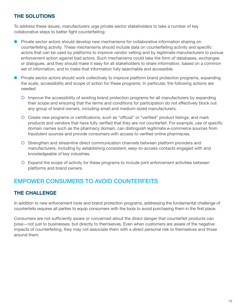### **THE SOLUTIONS**

To address these issues, manufacturers urge private sector stakeholders to take a number of key collaborative steps to better fight counterfeiting:

- **Private sector actors should develop new mechanisms for collaborative information sharing on** counterfeiting activity. These mechanisms should include data on counterfeiting activity and specific actors that can be used by platforms to improve vendor vetting and by legitimate manufacturers to pursue enforcement action against bad actors. Such mechanisms could take the form of databases, exchanges or dialogues, and they should make it easy for all stakeholders to share information, based on a common set of information, and to make that information fully searchable and accessible.
- **Private sector actors should work collectively to improve platform brand protection programs, expanding** the scale, accessibility and scope of action for these programs. In particular, the following actions are needed:
	- { Improve the accessibility of existing brand protection programs for all manufacturers by expanding their scope and ensuring that the terms and conditions for participation do not effectively block out any group of brand owners, including small and medium-sized manufacturers.
	- { Create new programs or certifications, such as "official" or "verified" product listings, and mark products and vendors that have fully verified that they are not counterfeit. For example, use of specific domain names such as the pharmacy domain, can distinguish legitimate e-commerce sources from fraudulent sources and provide consumers with access to verified online pharmacies.
	- { Strengthen and streamline direct communication channels between platform providers and manufacturers, including by establishing consistent, easy-to-access contacts engaged with and knowledgeable of key industries.
	- { Expand the scope of activity for these programs to include joint enforcement activities between platforms and brand owners.

# EMPOWER CONSUMERS TO AVOID COUNTERFEITS

### **THE CHALLENGE**

In addition to new enforcement tools and brand protection programs, addressing the fundamental challenge of counterfeits requires all parties to equip consumers with the tools to avoid purchasing them in the first place.

Consumers are not sufficiently aware or concerned about the direct danger that counterfeit products can pose—not just to businesses, but directly to themselves. Even when customers are aware of the negative impacts of counterfeiting, they may not associate them with a direct personal risk to themselves and those around them.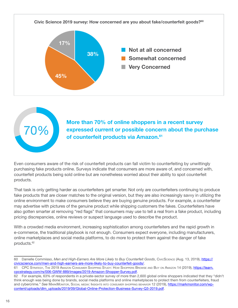



**More than 70% of online shoppers in a recent survey expressed current or possible concern about the purchase of counterfeit products via Amazon.<sup>61</sup>**

Even consumers aware of the risk of counterfeit products can fall victim to counterfeiting by unwittingly purchasing fake products online. Surveys indicate that consumers are more aware of, and concerned with, counterfeit products being sold online but are nonetheless worried about their ability to spot counterfeit products.

That task is only getting harder as counterfeiters get smarter. Not only are counterfeiters continuing to produce fake products that are closer matches to the original version, but they are also increasingly savvy in utilizing the online environment to make consumers believe they are buying genuine products. For example, a counterfeiter may advertise with pictures of the genuine product while shipping customers the fakes. Counterfeiters have also gotten smarter at removing "red flags" that consumers may use to tell a real from a fake product, including pricing discrepancies, online reviews or suspect language used to describe the product.

With a crowded media environment, increasing sophistication among counterfeiters and the rapid growth in e-commerce, the traditional playbook is not enough. Consumers expect everyone, including manufacturers, online marketplaces and social media platforms, to do more to protect them against the danger of fake products.<sup>62</sup>

<sup>60</sup> Danielle Commisso, Men and High-Earners Are More Likely to Buy Counterfeit Goods, CivicScience (Aug. 13, 2019), [https://](https://civicscience.com/men-and-high-earners-are-more-likely-to-buy-counterfeit-goods/) [civicscience.com/men-and-high-earners-are-more-likely-to-buy-counterfeit-goods/](https://civicscience.com/men-and-high-earners-are-more-likely-to-buy-counterfeit-goods/).

<sup>61</sup> CPC STRATEGY, THE 2019 AMAZON CONSUMER SHOPPING STUDY: HOW SHOPPERS BROWSE AND BUY ON AMAZON 14 (2019), [https://learn.](https://learn.cpcstrategy.com/rs/006-GWW-889/images/2019-Amazon-Shopper-Survey.pdf) [cpcstrategy.com/rs/006-GWW-889/images/2019-Amazon-Shopper-Survey.pdf](https://learn.cpcstrategy.com/rs/006-GWW-889/images/2019-Amazon-Shopper-Survey.pdf).

<sup>62</sup> For example, 63% of respondents in a private-sector survey of more than 2,600 global online shoppers indicated that they "didn't think enough was being done by brands, social media platforms and online marketplaces to protect them from counterfeiters, fraud and cybercrime." *See* MARKMONITOR, SOCIAL MEDIA: INSIGHTS INTO CONSUMER SHOPPING BEHAVIOR 12 (2019), [https://markmonitor.com/wp](https://markmonitor.com/wp-content/uploads/dlm_uploads/2019/09/Global-Online-Protection-Business-Survey-Q3-2019.pdf)[content/uploads/dlm\\_uploads/2019/09/Global-Online-Protection-Business-Survey-Q3-2019.pdf](https://markmonitor.com/wp-content/uploads/dlm_uploads/2019/09/Global-Online-Protection-Business-Survey-Q3-2019.pdf).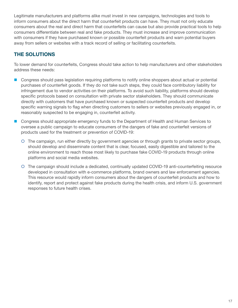Legitimate manufacturers and platforms alike must invest in new campaigns, technologies and tools to inform consumers about the direct harm that counterfeit products can have. They must not only educate consumers about the real and direct harm that counterfeits can cause but also provide practical tools to help consumers differentiate between real and fake products. They must increase and improve communication with consumers if they have purchased known or possible counterfeit products and warn potential buyers away from sellers or websites with a track record of selling or facilitating counterfeits.

## **THE SOLUTIONS**

To lower demand for counterfeits, Congress should take action to help manufacturers and other stakeholders address these needs:

- **Congress should pass legislation requiring platforms to notify online shoppers about actual or potential** purchases of counterfeit goods. If they do not take such steps, they could face contributory liability for infringement due to vendor activities on their platforms. To avoid such liability, platforms should develop specific protocols based on consultation with private sector stakeholders. They should communicate directly with customers that have purchased known or suspected counterfeit products and develop specific warning signals to flag when directing customers to sellers or websites previously engaged in, or reasonably suspected to be engaging in, counterfeit activity.
- **Congress should appropriate emergency funds to the Department of Health and Human Services to** oversee a public campaign to educate consumers of the dangers of fake and counterfeit versions of products used for the treatment or prevention of COVID-19:
	- { The campaign, run either directly by government agencies or through grants to private sector groups, should develop and disseminate content that is clear, focused, easily digestible and tailored to the online environment to reach those most likely to purchase fake COVID-19 products through online platforms and social media websites.
	- { The campaign should include a dedicated, continually updated COVID-19 anti-counterfeiting resource developed in consultation with e-commerce platforms, brand owners and law enforcement agencies. This resource would rapidly inform consumers about the dangers of counterfeit products and how to identify, report and protect against fake products during the health crisis, and inform U.S. government responses to future health crises.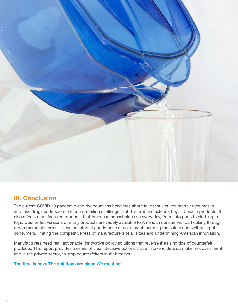

## **III. Conclusion**

The current COVID-19 pandemic and the countless headlines about fake test kits, counterfeit face masks and fake drugs underscore the counterfeiting challenge. But this problem extends beyond health products. It also affects manufactured products that American households use every day, from auto parts to clothing to toys. Counterfeit versions of many products are widely available to American consumers, particularly through e-commerce platforms. These counterfeit goods pose a triple threat: harming the safety and well-being of consumers, limiting the competitiveness of manufacturers of all sizes and undermining American innovation.

Manufacturers need real, actionable, innovative policy solutions that reverse the rising tide of counterfeit products. This report provides a series of clear, decisive actions that all stakeholders can take, in government and in the private sector, to stop counterfeiters in their tracks.

#### **The time is now. The solutions are clear. We must act.**